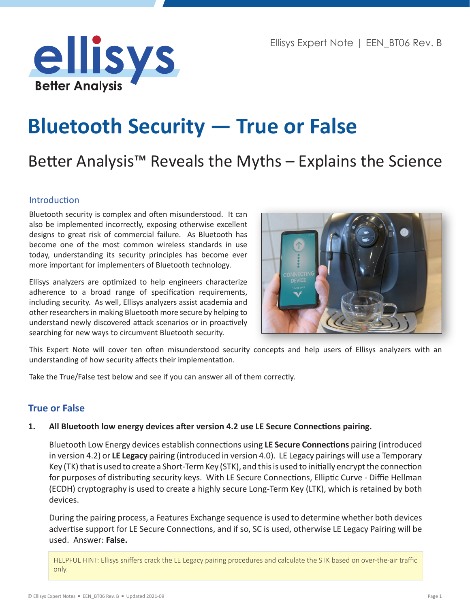

# **Bluetooth Security — True or False**

# Better Analysis™ Reveals the Myths – Explains the Science

# Introduction

Bluetooth security is complex and often misunderstood. It can also be implemented incorrectly, exposing otherwise excellent designs to great risk of commercial failure. As Bluetooth has become one of the most common wireless standards in use today, understanding its security principles has become ever more important for implementers of Bluetooth technology.

Ellisys analyzers are optimized to help engineers characterize adherence to a broad range of specification requirements, including security. As well, Ellisys analyzers assist academia and other researchers in making Bluetooth more secure by helping to understand newly discovered attack scenarios or in proactively searching for new ways to circumvent Bluetooth security.



This Expert Note will cover ten often misunderstood security concepts and help users of Ellisys analyzers with an understanding of how security affects their implementation.

Take the True/False test below and see if you can answer all of them correctly.

# **True or False**

#### **1. All Bluetooth low energy devices after version 4.2 use LE Secure Connections pairing.**

Bluetooth Low Energy devices establish connections using **LE Secure Connections** pairing (introduced in version 4.2) or **LE Legacy** pairing (introduced in version 4.0). LE Legacy pairings will use a Temporary Key (TK) that is used to create a Short-Term Key (STK), and this is used to initially encrypt the connection for purposes of distributing security keys. With LE Secure Connections, Elliptic Curve - Diffie Hellman (ECDH) cryptography is used to create a highly secure Long-Term Key (LTK), which is retained by both devices.

During the pairing process, a Features Exchange sequence is used to determine whether both devices advertise support for LE Secure Connections, and if so, SC is used, otherwise LE Legacy Pairing will be used. Answer: **False.**

HELPFUL HINT: Ellisys sniffers crack the LE Legacy pairing procedures and calculate the STK based on over-the-air traffic only.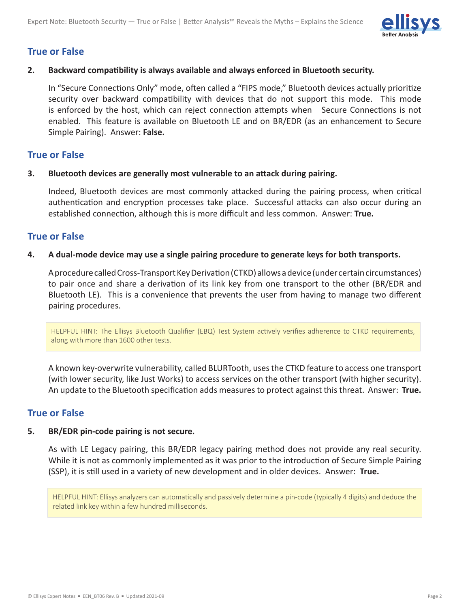

# **True or False**

#### **2. Backward compatibility is always available and always enforced in Bluetooth security.**

In "Secure Connections Only" mode, often called a "FIPS mode," Bluetooth devices actually prioritize security over backward compatibility with devices that do not support this mode. This mode is enforced by the host, which can reject connection attempts when Secure Connections is not enabled. This feature is available on Bluetooth LE and on BR/EDR (as an enhancement to Secure Simple Pairing). Answer: **False.**

# **True or False**

#### **3. Bluetooth devices are generally most vulnerable to an attack during pairing.**

Indeed, Bluetooth devices are most commonly attacked during the pairing process, when critical authentication and encryption processes take place. Successful attacks can also occur during an established connection, although this is more difficult and less common. Answer: **True.**

# **True or False**

#### **4. A dual-mode device may use a single pairing procedure to generate keys for both transports.**

A procedure called Cross-Transport Key Derivation (CTKD) allows a device (under certain circumstances) to pair once and share a derivation of its link key from one transport to the other (BR/EDR and Bluetooth LE). This is a convenience that prevents the user from having to manage two different pairing procedures.

HELPFUL HINT: The Ellisys Bluetooth Qualifier (EBQ) Test System actively verifies adherence to CTKD requirements, along with more than 1600 other tests.

A known key-overwrite vulnerability, called BLURTooth, uses the CTKD feature to access one transport (with lower security, like Just Works) to access services on the other transport (with higher security). An update to the Bluetooth specification adds measures to protect against this threat. Answer: **True.**

# **True or False**

#### **5. BR/EDR pin-code pairing is not secure.**

As with LE Legacy pairing, this BR/EDR legacy pairing method does not provide any real security. While it is not as commonly implemented as it was prior to the introduction of Secure Simple Pairing (SSP), it is still used in a variety of new development and in older devices. Answer: **True.**

HELPFUL HINT: Ellisys analyzers can automatically and passively determine a pin-code (typically 4 digits) and deduce the related link key within a few hundred milliseconds.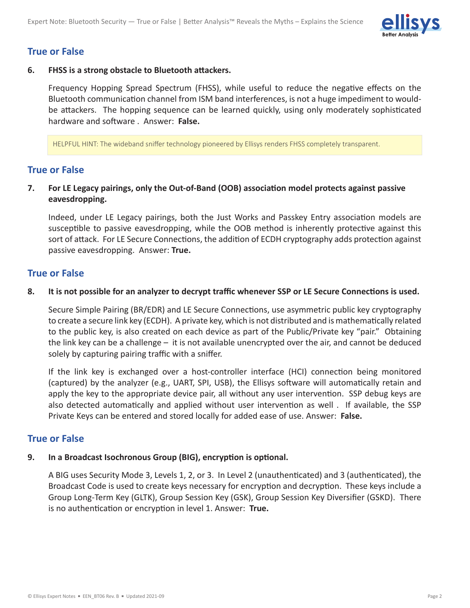

# **True or False**

#### **6. FHSS is a strong obstacle to Bluetooth attackers.**

Frequency Hopping Spread Spectrum (FHSS), while useful to reduce the negative effects on the Bluetooth communication channel from ISM band interferences, is not a huge impediment to wouldbe attackers. The hopping sequence can be learned quickly, using only moderately sophisticated hardware and software . Answer: **False.**

HELPFUL HINT: The wideband sniffer technology pioneered by Ellisys renders FHSS completely transparent.

# **True or False**

# **7. For LE Legacy pairings, only the Out-of-Band (OOB) association model protects against passive eavesdropping.**

Indeed, under LE Legacy pairings, both the Just Works and Passkey Entry association models are susceptible to passive eavesdropping, while the OOB method is inherently protective against this sort of attack. For LE Secure Connections, the addition of ECDH cryptography adds protection against passive eavesdropping. Answer: **True.**

# **True or False**

#### 8. It is not possible for an analyzer to decrypt traffic whenever SSP or LE Secure Connections is used.

Secure Simple Pairing (BR/EDR) and LE Secure Connections, use asymmetric public key cryptography to create a secure link key (ECDH). A private key, which is not distributed and is mathematically related to the public key, is also created on each device as part of the Public/Private key "pair." Obtaining the link key can be a challenge – it is not available unencrypted over the air, and cannot be deduced solely by capturing pairing traffic with a sniffer.

If the link key is exchanged over a host-controller interface (HCI) connection being monitored (captured) by the analyzer (e.g., UART, SPI, USB), the Ellisys software will automatically retain and apply the key to the appropriate device pair, all without any user intervention. SSP debug keys are also detected automatically and applied without user intervention as well . If available, the SSP Private Keys can be entered and stored locally for added ease of use. Answer: **False.**

# **True or False**

#### **9. In a Broadcast Isochronous Group (BIG), encryption is optional.**

A BIG uses Security Mode 3, Levels 1, 2, or 3. In Level 2 (unauthenticated) and 3 (authenticated), the Broadcast Code is used to create keys necessary for encryption and decryption. These keys include a Group Long-Term Key (GLTK), Group Session Key (GSK), Group Session Key Diversifier (GSKD). There is no authentication or encryption in level 1. Answer: **True.**